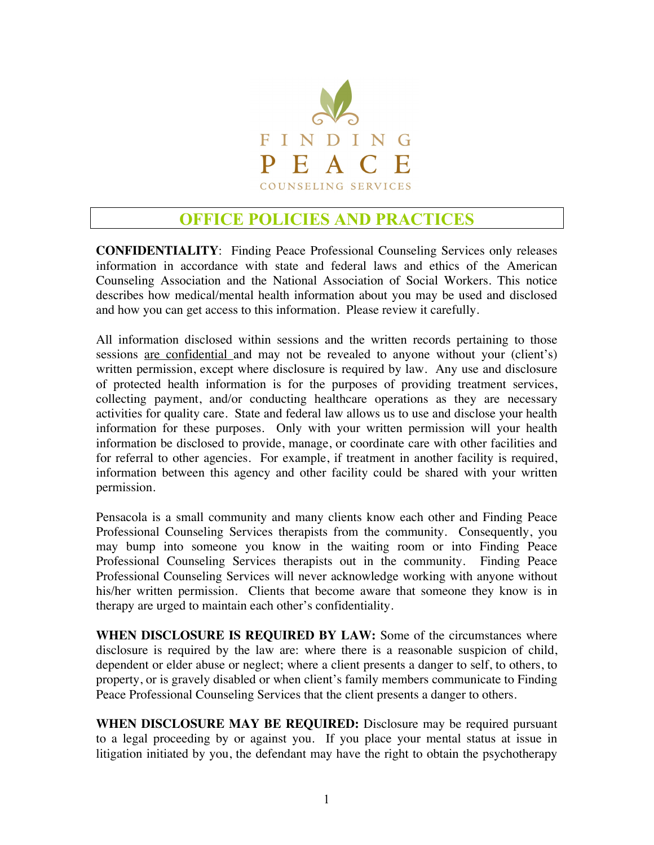

## **OFFICE POLICIES AND PRACTICES**

**CONFIDENTIALITY**: Finding Peace Professional Counseling Services only releases information in accordance with state and federal laws and ethics of the American Counseling Association and the National Association of Social Workers. This notice describes how medical/mental health information about you may be used and disclosed and how you can get access to this information. Please review it carefully.

All information disclosed within sessions and the written records pertaining to those sessions are confidential and may not be revealed to anyone without your (client's) written permission, except where disclosure is required by law. Any use and disclosure of protected health information is for the purposes of providing treatment services, collecting payment, and/or conducting healthcare operations as they are necessary activities for quality care. State and federal law allows us to use and disclose your health information for these purposes. Only with your written permission will your health information be disclosed to provide, manage, or coordinate care with other facilities and for referral to other agencies. For example, if treatment in another facility is required, information between this agency and other facility could be shared with your written permission.

Pensacola is a small community and many clients know each other and Finding Peace Professional Counseling Services therapists from the community. Consequently, you may bump into someone you know in the waiting room or into Finding Peace Professional Counseling Services therapists out in the community. Finding Peace Professional Counseling Services will never acknowledge working with anyone without his/her written permission. Clients that become aware that someone they know is in therapy are urged to maintain each other's confidentiality.

**WHEN DISCLOSURE IS REQUIRED BY LAW:** Some of the circumstances where disclosure is required by the law are: where there is a reasonable suspicion of child, dependent or elder abuse or neglect; where a client presents a danger to self, to others, to property, or is gravely disabled or when client's family members communicate to Finding Peace Professional Counseling Services that the client presents a danger to others.

**WHEN DISCLOSURE MAY BE REQUIRED:** Disclosure may be required pursuant to a legal proceeding by or against you. If you place your mental status at issue in litigation initiated by you, the defendant may have the right to obtain the psychotherapy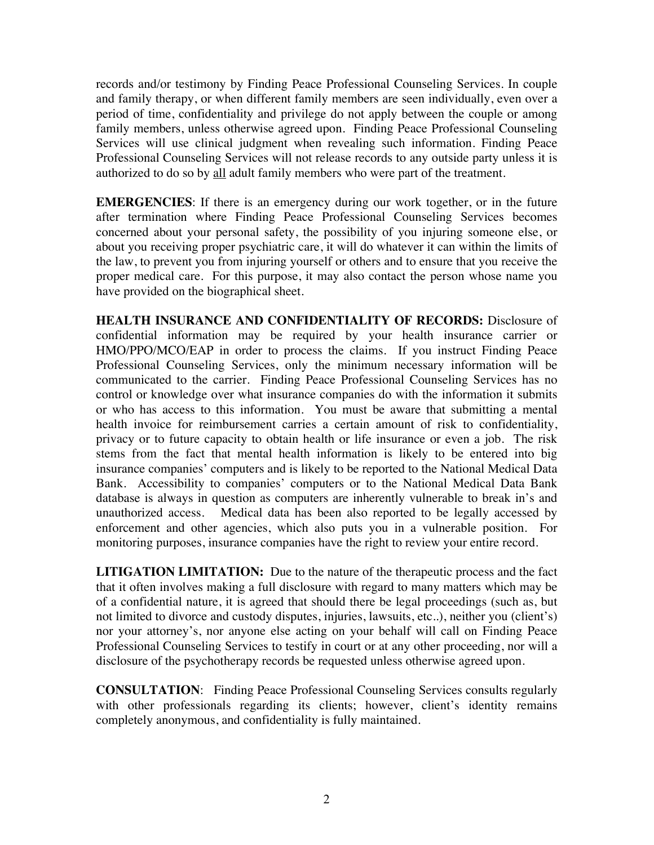records and/or testimony by Finding Peace Professional Counseling Services. In couple and family therapy, or when different family members are seen individually, even over a period of time, confidentiality and privilege do not apply between the couple or among family members, unless otherwise agreed upon. Finding Peace Professional Counseling Services will use clinical judgment when revealing such information. Finding Peace Professional Counseling Services will not release records to any outside party unless it is authorized to do so by all adult family members who were part of the treatment.

**EMERGENCIES**: If there is an emergency during our work together, or in the future after termination where Finding Peace Professional Counseling Services becomes concerned about your personal safety, the possibility of you injuring someone else, or about you receiving proper psychiatric care, it will do whatever it can within the limits of the law, to prevent you from injuring yourself or others and to ensure that you receive the proper medical care. For this purpose, it may also contact the person whose name you have provided on the biographical sheet.

**HEALTH INSURANCE AND CONFIDENTIALITY OF RECORDS:** Disclosure of confidential information may be required by your health insurance carrier or HMO/PPO/MCO/EAP in order to process the claims. If you instruct Finding Peace Professional Counseling Services, only the minimum necessary information will be communicated to the carrier. Finding Peace Professional Counseling Services has no control or knowledge over what insurance companies do with the information it submits or who has access to this information. You must be aware that submitting a mental health invoice for reimbursement carries a certain amount of risk to confidentiality, privacy or to future capacity to obtain health or life insurance or even a job. The risk stems from the fact that mental health information is likely to be entered into big insurance companies' computers and is likely to be reported to the National Medical Data Bank. Accessibility to companies' computers or to the National Medical Data Bank database is always in question as computers are inherently vulnerable to break in's and unauthorized access. Medical data has been also reported to be legally accessed by enforcement and other agencies, which also puts you in a vulnerable position. For monitoring purposes, insurance companies have the right to review your entire record.

**LITIGATION LIMITATION:** Due to the nature of the therapeutic process and the fact that it often involves making a full disclosure with regard to many matters which may be of a confidential nature, it is agreed that should there be legal proceedings (such as, but not limited to divorce and custody disputes, injuries, lawsuits, etc..), neither you (client's) nor your attorney's, nor anyone else acting on your behalf will call on Finding Peace Professional Counseling Services to testify in court or at any other proceeding, nor will a disclosure of the psychotherapy records be requested unless otherwise agreed upon.

**CONSULTATION**: Finding Peace Professional Counseling Services consults regularly with other professionals regarding its clients; however, client's identity remains completely anonymous, and confidentiality is fully maintained.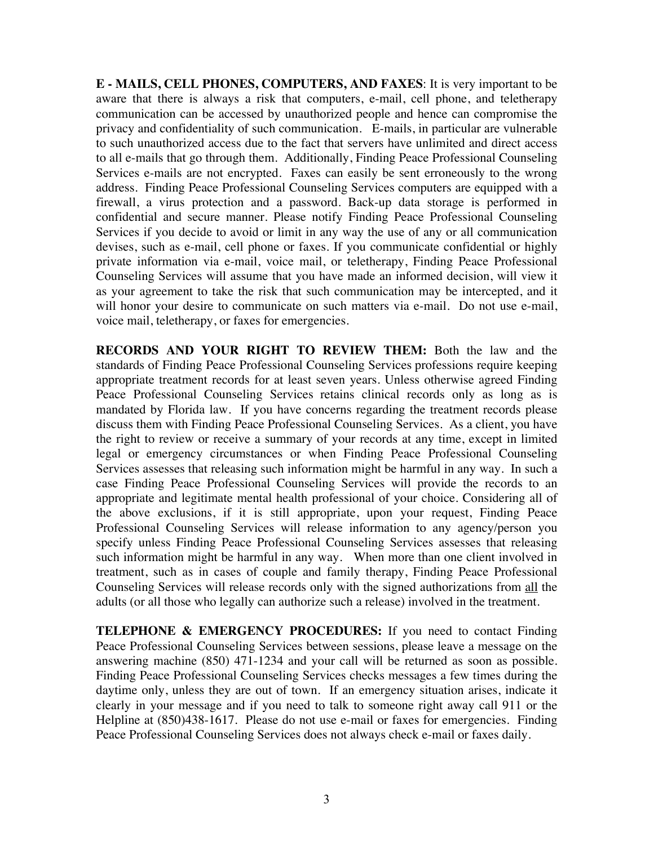**E - MAILS, CELL PHONES, COMPUTERS, AND FAXES**: It is very important to be aware that there is always a risk that computers, e-mail, cell phone, and teletherapy communication can be accessed by unauthorized people and hence can compromise the privacy and confidentiality of such communication. E-mails, in particular are vulnerable to such unauthorized access due to the fact that servers have unlimited and direct access to all e-mails that go through them. Additionally, Finding Peace Professional Counseling Services e-mails are not encrypted. Faxes can easily be sent erroneously to the wrong address. Finding Peace Professional Counseling Services computers are equipped with a firewall, a virus protection and a password. Back-up data storage is performed in confidential and secure manner. Please notify Finding Peace Professional Counseling Services if you decide to avoid or limit in any way the use of any or all communication devises, such as e-mail, cell phone or faxes. If you communicate confidential or highly private information via e-mail, voice mail, or teletherapy, Finding Peace Professional Counseling Services will assume that you have made an informed decision, will view it as your agreement to take the risk that such communication may be intercepted, and it will honor your desire to communicate on such matters via e-mail. Do not use e-mail, voice mail, teletherapy, or faxes for emergencies.

**RECORDS AND YOUR RIGHT TO REVIEW THEM:** Both the law and the standards of Finding Peace Professional Counseling Services professions require keeping appropriate treatment records for at least seven years. Unless otherwise agreed Finding Peace Professional Counseling Services retains clinical records only as long as is mandated by Florida law. If you have concerns regarding the treatment records please discuss them with Finding Peace Professional Counseling Services. As a client, you have the right to review or receive a summary of your records at any time, except in limited legal or emergency circumstances or when Finding Peace Professional Counseling Services assesses that releasing such information might be harmful in any way. In such a case Finding Peace Professional Counseling Services will provide the records to an appropriate and legitimate mental health professional of your choice. Considering all of the above exclusions, if it is still appropriate, upon your request, Finding Peace Professional Counseling Services will release information to any agency/person you specify unless Finding Peace Professional Counseling Services assesses that releasing such information might be harmful in any way. When more than one client involved in treatment, such as in cases of couple and family therapy, Finding Peace Professional Counseling Services will release records only with the signed authorizations from all the adults (or all those who legally can authorize such a release) involved in the treatment.

**TELEPHONE & EMERGENCY PROCEDURES:** If you need to contact Finding Peace Professional Counseling Services between sessions, please leave a message on the answering machine (850) 471-1234 and your call will be returned as soon as possible. Finding Peace Professional Counseling Services checks messages a few times during the daytime only, unless they are out of town. If an emergency situation arises, indicate it clearly in your message and if you need to talk to someone right away call 911 or the Helpline at  $(850)438-1617$ . Please do not use e-mail or faxes for emergencies. Finding Peace Professional Counseling Services does not always check e-mail or faxes daily.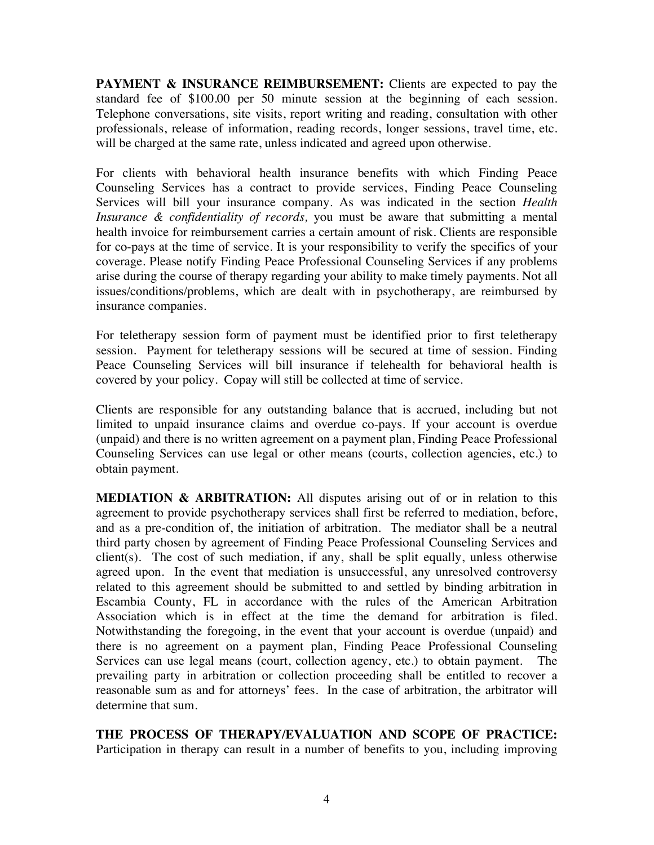**PAYMENT & INSURANCE REIMBURSEMENT:** Clients are expected to pay the standard fee of \$100.00 per 50 minute session at the beginning of each session. Telephone conversations, site visits, report writing and reading, consultation with other professionals, release of information, reading records, longer sessions, travel time, etc. will be charged at the same rate, unless indicated and agreed upon otherwise.

For clients with behavioral health insurance benefits with which Finding Peace Counseling Services has a contract to provide services, Finding Peace Counseling Services will bill your insurance company. As was indicated in the section *Health Insurance & confidentiality of records,* you must be aware that submitting a mental health invoice for reimbursement carries a certain amount of risk. Clients are responsible for co-pays at the time of service. It is your responsibility to verify the specifics of your coverage. Please notify Finding Peace Professional Counseling Services if any problems arise during the course of therapy regarding your ability to make timely payments. Not all issues/conditions/problems, which are dealt with in psychotherapy, are reimbursed by insurance companies.

For teletherapy session form of payment must be identified prior to first teletherapy session. Payment for teletherapy sessions will be secured at time of session. Finding Peace Counseling Services will bill insurance if telehealth for behavioral health is covered by your policy. Copay will still be collected at time of service.

Clients are responsible for any outstanding balance that is accrued, including but not limited to unpaid insurance claims and overdue co-pays. If your account is overdue (unpaid) and there is no written agreement on a payment plan, Finding Peace Professional Counseling Services can use legal or other means (courts, collection agencies, etc.) to obtain payment.

**MEDIATION & ARBITRATION:** All disputes arising out of or in relation to this agreement to provide psychotherapy services shall first be referred to mediation, before, and as a pre-condition of, the initiation of arbitration. The mediator shall be a neutral third party chosen by agreement of Finding Peace Professional Counseling Services and client(s). The cost of such mediation, if any, shall be split equally, unless otherwise agreed upon. In the event that mediation is unsuccessful, any unresolved controversy related to this agreement should be submitted to and settled by binding arbitration in Escambia County, FL in accordance with the rules of the American Arbitration Association which is in effect at the time the demand for arbitration is filed. Notwithstanding the foregoing, in the event that your account is overdue (unpaid) and there is no agreement on a payment plan, Finding Peace Professional Counseling Services can use legal means (court, collection agency, etc.) to obtain payment. The prevailing party in arbitration or collection proceeding shall be entitled to recover a reasonable sum as and for attorneys' fees. In the case of arbitration, the arbitrator will determine that sum.

**THE PROCESS OF THERAPY/EVALUATION AND SCOPE OF PRACTICE:**  Participation in therapy can result in a number of benefits to you, including improving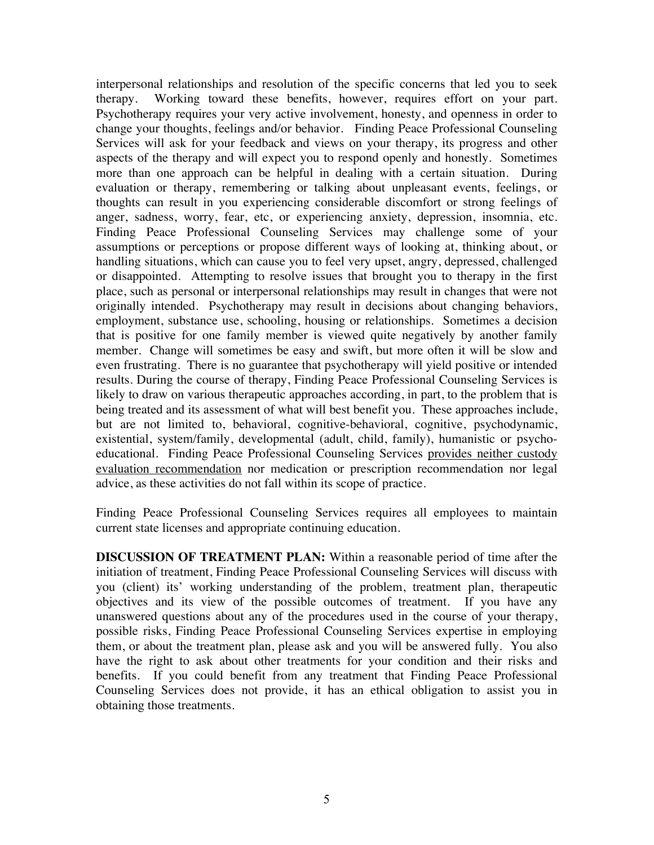interpersonal relationships and resolution of the specific concerns that led you to seek therapy. Working toward these benefits, however, requires effort on your part. Psychotherapy requires your very active involvement, honesty, and openness in order to change your thoughts, feelings and/or behavior. Finding Peace Professional Counseling Services will ask for your feedback and views on your therapy, its progress and other aspects of the therapy and will expect you to respond openly and honestly. Sometimes more than one approach can be helpful in dealing with a certain situation. During evaluation or therapy, remembering or talking about unpleasant events, feelings, or thoughts can result in you experiencing considerable discomfort or strong feelings of anger, sadness, worry, fear, etc, or experiencing anxiety, depression, insomnia, etc. Finding Peace Professional Counseling Services may challenge some of your assumptions or perceptions or propose different ways of looking at, thinking about, or handling situations, which can cause you to feel very upset, angry, depressed, challenged or disappointed. Attempting to resolve issues that brought you to therapy in the first place, such as personal or interpersonal relationships may result in changes that were not originally intended. Psychotherapy may result in decisions about changing behaviors, employment, substance use, schooling, housing or relationships. Sometimes a decision that is positive for one family member is viewed quite negatively by another family member. Change will sometimes be easy and swift, but more often it will be slow and even frustrating. There is no guarantee that psychotherapy will yield positive or intended results. During the course of therapy, Finding Peace Professional Counseling Services is likely to draw on various therapeutic approaches according, in part, to the problem that is being treated and its assessment of what will best benefit you. These approaches include, but are not limited to, behavioral, cognitive-behavioral, cognitive, psychodynamic, existential, system/family, developmental (adult, child, family), humanistic or psychoeducational. Finding Peace Professional Counseling Services provides neither custody evaluation recommendation nor medication or prescription recommendation nor legal advice, as these activities do not fall within its scope of practice.

Finding Peace Professional Counseling Services requires all employees to maintain current state licenses and appropriate continuing education.

**DISCUSSION OF TREATMENT PLAN:** Within a reasonable period of time after the initiation of treatment, Finding Peace Professional Counseling Services will discuss with you (client) its' working understanding of the problem, treatment plan, therapeutic objectives and its view of the possible outcomes of treatment. If you have any unanswered questions about any of the procedures used in the course of your therapy, possible risks, Finding Peace Professional Counseling Services expertise in employing them, or about the treatment plan, please ask and you will be answered fully. You also have the right to ask about other treatments for your condition and their risks and benefits. If you could benefit from any treatment that Finding Peace Professional Counseling Services does not provide, it has an ethical obligation to assist you in obtaining those treatments.